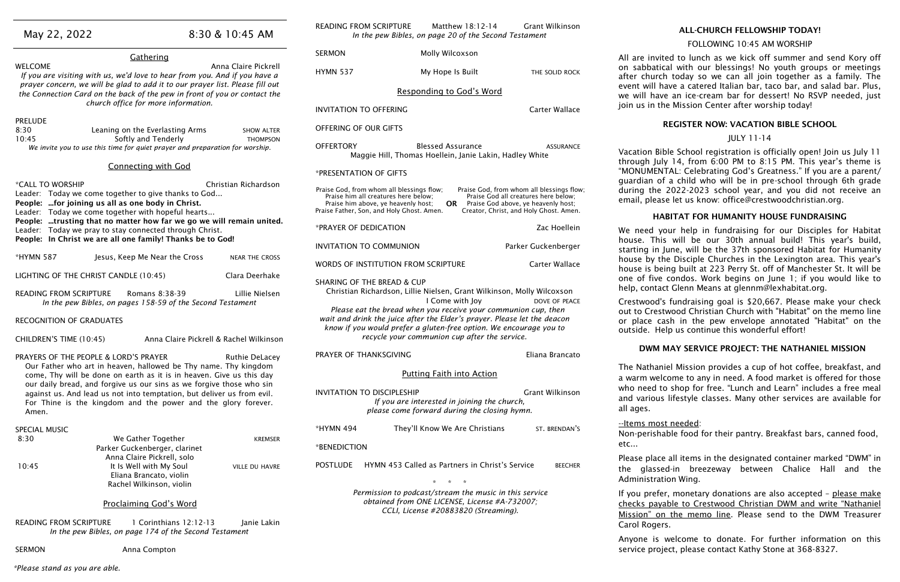|                                                                                                                                                                                                                                                                                                                                                                                                                                       | <u>Gathering</u>                                                                                                                       |                                      | <b>SERMON</b>                                                                                                                                                                                  | Molly Wilcoxson                                                                                                                                                                                                                                                                                                                                                |                                                                                                                                                                                    |
|---------------------------------------------------------------------------------------------------------------------------------------------------------------------------------------------------------------------------------------------------------------------------------------------------------------------------------------------------------------------------------------------------------------------------------------|----------------------------------------------------------------------------------------------------------------------------------------|--------------------------------------|------------------------------------------------------------------------------------------------------------------------------------------------------------------------------------------------|----------------------------------------------------------------------------------------------------------------------------------------------------------------------------------------------------------------------------------------------------------------------------------------------------------------------------------------------------------------|------------------------------------------------------------------------------------------------------------------------------------------------------------------------------------|
| <b>WELCOME</b><br>Anna Claire Pickrell<br>If you are visiting with us, we'd love to hear from you. And if you have a<br>prayer concern, we will be glad to add it to our prayer list. Please fill out<br>the Connection Card on the back of the pew in front of you or contact the<br>church office for more information.                                                                                                             |                                                                                                                                        |                                      | <b>HYMN 537</b><br>My Hope Is Built<br>THE SOLID ROCK<br>Responding to God's Word<br><b>INVITATION TO OFFERING</b>                                                                             |                                                                                                                                                                                                                                                                                                                                                                |                                                                                                                                                                                    |
|                                                                                                                                                                                                                                                                                                                                                                                                                                       |                                                                                                                                        |                                      |                                                                                                                                                                                                |                                                                                                                                                                                                                                                                                                                                                                | Carter Wallace                                                                                                                                                                     |
| <b>PRELUDE</b><br>8:30<br>10:45                                                                                                                                                                                                                                                                                                                                                                                                       | Leaning on the Everlasting Arms<br>Softly and Tenderly<br>We invite you to use this time for quiet prayer and preparation for worship. | <b>SHOW ALTER</b><br><b>THOMPSON</b> | OFFERING OF OUR GIFTS<br><b>OFFERTORY</b>                                                                                                                                                      | <b>Blessed Assurance</b><br>Maggie Hill, Thomas Hoellein, Janie Lakin, Hadley White                                                                                                                                                                                                                                                                            | ASSURANCE                                                                                                                                                                          |
| <b>Connecting with God</b>                                                                                                                                                                                                                                                                                                                                                                                                            |                                                                                                                                        |                                      | *PRESENTATION OF GIFTS                                                                                                                                                                         |                                                                                                                                                                                                                                                                                                                                                                |                                                                                                                                                                                    |
| *CALL TO WORSHIP<br>Christian Richardson<br>Leader: Today we come together to give thanks to God<br>People: for joining us all as one body in Christ.<br>Leader: Today we come together with hopeful hearts<br>People: trusting that no matter how far we go we will remain united.<br>Leader: Today we pray to stay connected through Christ.<br>People: In Christ we are all one family! Thanks be to God!                          |                                                                                                                                        |                                      | Praise God, from whom all blessings flow;<br>Praise him all creatures here below;<br>Praise him above, ye heavenly host;<br>Praise Father, Son, and Holy Ghost. Amen.<br>*PRAYER OF DEDICATION | OR .                                                                                                                                                                                                                                                                                                                                                           | Praise God, from whom all blessings flow;<br>Praise God all creatures here below;<br>Praise God above, ye heavenly host;<br>Creator, Christ, and Holy Ghost. Amen.<br>Zac Hoellein |
|                                                                                                                                                                                                                                                                                                                                                                                                                                       |                                                                                                                                        |                                      | <b>INVITATION TO COMMUNION</b>                                                                                                                                                                 |                                                                                                                                                                                                                                                                                                                                                                | Parker Guckenberger                                                                                                                                                                |
| *HYMN 587                                                                                                                                                                                                                                                                                                                                                                                                                             | Jesus, Keep Me Near the Cross                                                                                                          | <b>NEAR THE CROSS</b>                |                                                                                                                                                                                                | WORDS OF INSTITUTION FROM SCRIPTURE                                                                                                                                                                                                                                                                                                                            | Carter Wallace                                                                                                                                                                     |
| LIGHTING OF THE CHRIST CANDLE (10:45)<br>Clara Deerhake<br><b>READING FROM SCRIPTURE</b><br>Romans 8:38-39<br>Lillie Nielsen<br>In the pew Bibles, on pages 158-59 of the Second Testament<br>RECOGNITION OF GRADUATES<br>CHILDREN'S TIME (10:45)<br>Anna Claire Pickrell & Rachel Wilkinson                                                                                                                                          |                                                                                                                                        |                                      | <b>SHARING OF THE BREAD &amp; CUP</b>                                                                                                                                                          | Christian Richardson, Lillie Nielsen, Grant Wilkinson, Molly Wilcoxson<br>I Come with Joy<br>Please eat the bread when you receive your communion cup, then<br>wait and drink the juice after the Elder's prayer. Please let the deacon<br>know if you would prefer a gluten-free option. We encourage you to<br>recycle your communion cup after the service. | DOVE OF PEACE                                                                                                                                                                      |
| PRAYERS OF THE PEOPLE & LORD'S PRAYER<br><b>Ruthie DeLacey</b><br>Our Father who art in heaven, hallowed be Thy name. Thy kingdom<br>come, Thy will be done on earth as it is in heaven. Give us this day<br>our daily bread, and forgive us our sins as we forgive those who sin<br>against us. And lead us not into temptation, but deliver us from evil.<br>For Thine is the kingdom and the power and the glory forever.<br>Amen. |                                                                                                                                        |                                      | PRAYER OF THANKSGIVING<br><b>INVITATION TO DISCIPLESHIP</b>                                                                                                                                    | <b>Putting Faith into Action</b><br>If you are interested in joining the church,<br>please come forward during the closing hymn.                                                                                                                                                                                                                               | Eliana Brancato<br>Grant Wilkinson                                                                                                                                                 |
| <b>SPECIAL MUSIC</b><br>8:30                                                                                                                                                                                                                                                                                                                                                                                                          | We Gather Together<br>Parker Guckenberger, clarinet                                                                                    | <b>KREMSER</b>                       | *HYMN 494<br>*BENEDICTION                                                                                                                                                                      | They'll Know We Are Christians                                                                                                                                                                                                                                                                                                                                 | ST. BRENDAN'S                                                                                                                                                                      |
| 10:45                                                                                                                                                                                                                                                                                                                                                                                                                                 | Anna Claire Pickrell, solo<br>It Is Well with My Soul<br>Eliana Brancato, violin<br>Rachel Wilkinson, violin                           | <b>VILLE DU HAVRE</b>                | <b>POSTLUDE</b>                                                                                                                                                                                | HYMN 453 Called as Partners in Christ's Service                                                                                                                                                                                                                                                                                                                | <b>BEECHER</b>                                                                                                                                                                     |
|                                                                                                                                                                                                                                                                                                                                                                                                                                       | <b>Proclaiming God's Word</b>                                                                                                          |                                      | Permission to podcast/stream the music in this service<br>obtained from ONE LICENSE, License #A-732007;<br>CCLI, License #20883820 (Streaming).                                                |                                                                                                                                                                                                                                                                                                                                                                |                                                                                                                                                                                    |
| 1 Corinthians 12:12-13<br>Janie Lakin<br>READING FROM SCRIPTURE                                                                                                                                                                                                                                                                                                                                                                       |                                                                                                                                        |                                      |                                                                                                                                                                                                |                                                                                                                                                                                                                                                                                                                                                                |                                                                                                                                                                                    |

*In the pew Bibles, on page 174 of the Second Testament*

*\*Please stand as you are able.*

May 22, 2022 8:30 & 10:45 AM

READING FROM SCRIPTURE Matthew 18:12-14 Grant Wilkinson *In the pew Bibles, on page 20 of the Second Testament*

SERMON Anna Compton

## ALL-CHURCH FELLOWSHIP TODAY!

## FOLLOWING 10:45 AM WORSHIP

All are invited to lunch as we kick off summer and send Kory off on sabbatical with our blessings! No youth groups or meetings after church today so we can all join together as a family. The event will have a catered Italian bar, taco bar, and salad bar. Plus, we will have an ice-cream bar for dessert! No RSVP needed, just join us in the Mission Center after worship today!

## REGISTER NOW: VACATION BIBLE SCHOOL

## JULY 11-14

Vacation Bible School registration is officially open! Join us July 11 through July 14, from 6:00 PM to 8:15 PM. This year's theme is "MONUMENTAL: Celebrating God's Greatness." If you are a parent/ guardian of a child who will be in pre-school through 6th grade during the 2022-2023 school year, and you did not receive an email, please let us know: office@crestwoodchristian.org.

## HABITAT FOR HUMANITY HOUSE FUNDRAISING

We need your help in fundraising for our Disciples for Habitat house. This will be our 30th annual build! This year's build, starting in June, will be the 37th sponsored Habitat for Humanity house by the Disciple Churches in the Lexington area. This year's house is being built at 223 Perry St. off of Manchester St. It will be one of five condos. Work begins on June 1; if you would like to help, contact Glenn Means at glennm@lexhabitat.org.

Crestwood's fundraising goal is \$20,667. Please make your check out to Crestwood Christian Church with "Habitat" on the memo line or place cash in the pew envelope annotated "Habitat" on the outside. Help us continue this wonderful effort!

## DWM MAY SERVICE PROJECT: THE NATHANIEL MISSION

The Nathaniel Mission provides a cup of hot coffee, breakfast, and a warm welcome to any in need. A food market is offered for those who need to shop for free. "Lunch and Learn" includes a free meal and various lifestyle classes. Many other services are available for

all ages.

--Items most needed:

Non-perishable food for their pantry. Breakfast bars, canned food,

etc...

Please place all items in the designated container marked "DWM" in the glassed-in breezeway between Chalice Hall and the Administration Wing.

If you prefer, monetary donations are also accepted – please make checks payable to Crestwood Christian DWM and write "Nathaniel Mission" on the memo line. Please send to the DWM Treasurer Carol Rogers.

Anyone is welcome to donate. For further information on this service project, please contact Kathy Stone at 368-8327.